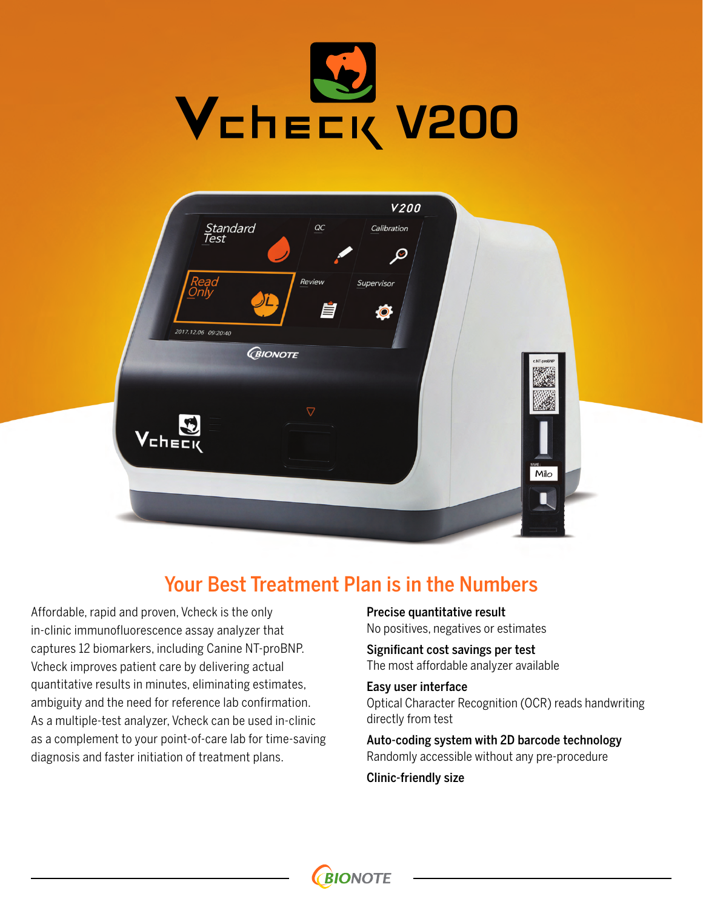

| Standard<br>Test<br>Read<br>Review<br>2017.12.06 09:20:40<br><b>GIONOTE</b> | <b>V200</b><br>$\underline{\mathit{OC}}$<br>Calibration<br>$\varphi$<br>Supervisor<br>自<br>$\circ$ | c.NT-proBNF          |
|-----------------------------------------------------------------------------|----------------------------------------------------------------------------------------------------|----------------------|
| $\triangledown$<br>$\mathbf{E}$<br>VEHEEK                                   |                                                                                                    | <b>NAME:</b><br>Milo |

### Your Best Treatment Plan is in the Numbers

**BIONOTE** 

Affordable, rapid and proven, Vcheck is the only in-clinic immunofluorescence assay analyzer that captures 12 biomarkers, including Canine NT-proBNP. Vcheck improves patient care by delivering actual quantitative results in minutes, eliminating estimates, ambiguity and the need for reference lab confirmation. As a multiple-test analyzer, Vcheck can be used in-clinic as a complement to your point-of-care lab for time-saving diagnosis and faster initiation of treatment plans.

Precise quantitative result No positives, negatives or estimates

Significant cost savings per test The most affordable analyzer available

Easy user interface Optical Character Recognition (OCR) reads handwriting directly from test

Auto-coding system with 2D barcode technology Randomly accessible without any pre-procedure

Clinic-friendly size